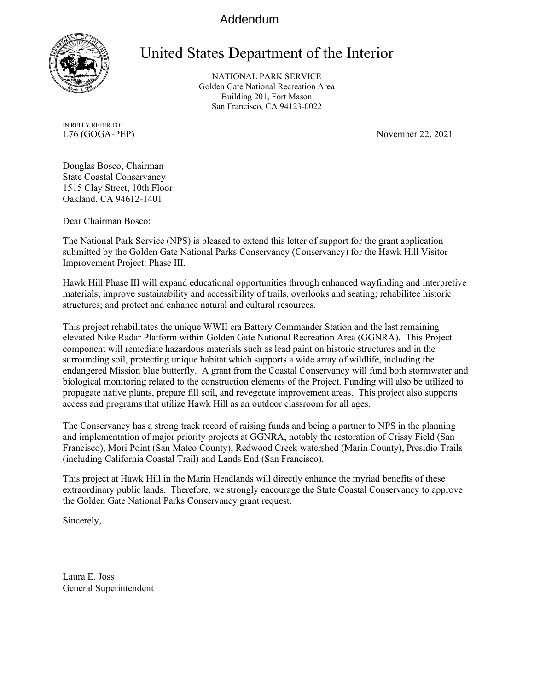## Addendum



## United States Department of the Interior

NATIONAL PARK SERVICE Golden Gate National Recreation Area Building 201, Fort Mason San Francisco, CA 94123-0022

IN REPLY REFER TO:

L76 (GOGA-PEP) November 22, 2021

Douglas Bosco, Chairman State Coastal Conservancy 1515 Clay Street, 10th Floor Oakland, CA 94612-1401

Dear Chairman Bosco:

The National Park Service (NPS) is pleased to extend this letter of support for the grant application submitted by the Golden Gate National Parks Conservancy (Conservancy) for the Hawk Hill Visitor Improvement Project: Phase III.

Hawk Hill Phase III will expand educational opportunities through enhanced wayfinding and interpretive materials; improve sustainability and accessibility of trails, overlooks and seating; rehabilitee historic structures; and protect and enhance natural and cultural resources.

This project rehabilitates the unique WWII era Battery Commander Station and the last remaining elevated Nike Radar Platform within Golden Gate National Recreation Area (GGNRA). This Project component will remediate hazardous materials such as lead paint on historic structures and in the surrounding soil, protecting unique habitat which supports a wide array of wildlife, including the endangered Mission blue butterfly. A grant from the Coastal Conservancy will fund both stormwater and biological monitoring related to the construction elements of the Project. Funding will also be utilized to propagate native plants, prepare fill soil, and revegetate improvement areas. This project also supports access and programs that utilize Hawk Hill as an outdoor classroom for all ages.

The Conservancy has a strong track record of raising funds and being a partner to NPS in the planning and implementation of major priority projects at GGNRA, notably the restoration of Crissy Field (San Francisco), Mori Point (San Mateo County), Redwood Creek watershed (Marin County), Presidio Trails (including California Coastal Trail) and Lands End (San Francisco).

This project at Hawk Hill in the Marin Headlands will directly enhance the myriad benefits of these extraordinary public lands. Therefore, we strongly encourage the State Coastal Conservancy to approve the Golden Gate National Parks Conservancy grant request.

Sincerely,

Laura E. Joss General Superintendent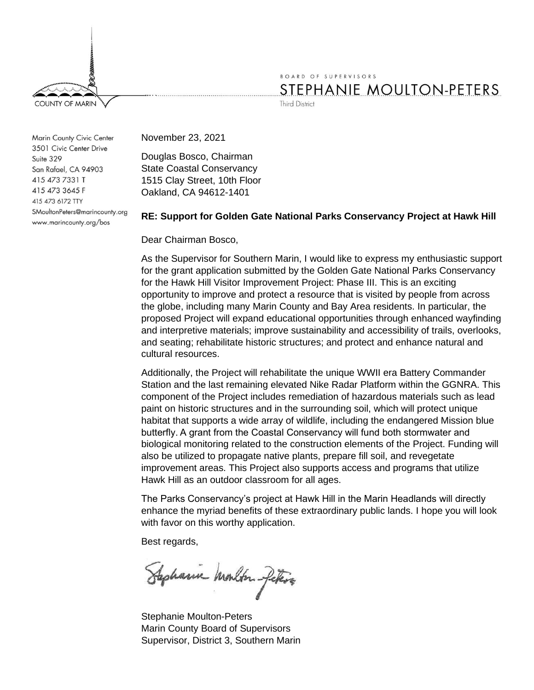

BOARD OF SUPERVISORS STEPHANIE MOULTON-PETERS

**Third District** 

Marin County Civic Center 3501 Civic Center Drive Suite 329 San Rafael, CA 94903 415 473 7331 T 415 473 3645 F 415 473 6172 TTY SMoultonPeters@marincounty.org www.marincounty.org/bos

November 23, 2021

Douglas Bosco, Chairman State Coastal Conservancy 1515 Clay Street, 10th Floor Oakland, CA 94612-1401

## **RE: Support for Golden Gate National Parks Conservancy Project at Hawk Hill**

Dear Chairman Bosco,

As the Supervisor for Southern Marin, I would like to express my enthusiastic support for the grant application submitted by the Golden Gate National Parks Conservancy for the Hawk Hill Visitor Improvement Project: Phase III. This is an exciting opportunity to improve and protect a resource that is visited by people from across the globe, including many Marin County and Bay Area residents. In particular, the proposed Project will expand educational opportunities through enhanced wayfinding and interpretive materials; improve sustainability and accessibility of trails, overlooks, and seating; rehabilitate historic structures; and protect and enhance natural and cultural resources.

Additionally, the Project will rehabilitate the unique WWII era Battery Commander Station and the last remaining elevated Nike Radar Platform within the GGNRA. This component of the Project includes remediation of hazardous materials such as lead paint on historic structures and in the surrounding soil, which will protect unique habitat that supports a wide array of wildlife, including the endangered Mission blue butterfly. A grant from the Coastal Conservancy will fund both stormwater and biological monitoring related to the construction elements of the Project. Funding will also be utilized to propagate native plants, prepare fill soil, and revegetate improvement areas. This Project also supports access and programs that utilize Hawk Hill as an outdoor classroom for all ages.

The Parks Conservancy's project at Hawk Hill in the Marin Headlands will directly enhance the myriad benefits of these extraordinary public lands. I hope you will look with favor on this worthy application.

Best regards,

Sephanic Monton files

Stephanie Moulton-Peters Marin County Board of Supervisors Supervisor, District 3, Southern Marin